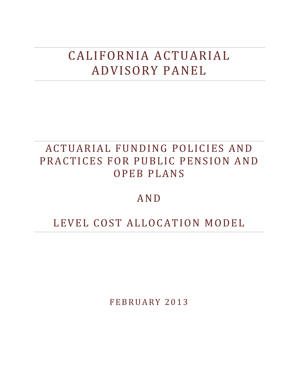# CALIFORNIA ACTUARIAL ADVISORY PANEL

## ACTUARIAL FUNDING POLICIES AND PRACTICES FOR PUBLIC PENSION AND OPEB PLANS

## AND

## LEVEL COST ALLOCATION MODEL

FEBRUARY 2013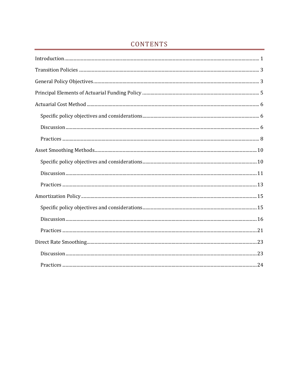## CONTENTS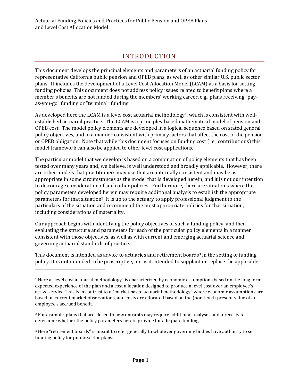## INTRODUCTION

This document develops the principal elements and parameters of an actuarial funding policy for representative California public pension and OPEB plans, as well as other similar U.S. public sector plans. It includes the development of a Level Cost Allocation Model (LCAM) as a basis for setting funding policies. This document does not address policy issues related to benefit plans where a member's benefits are not funded during the members' working career, e.g., plans receiving "payas-you-go" funding or "terminal" funding.

As developed here the LCAM is a level cost actuarial methodology<sup>1</sup>, which is consistent with wellestablished actuarial practice. The LCAM is a principles-based mathematical model of pension and OPEB cost. The model policy elements are developed in a logical sequence based on stated general policy objectives, and in a manner consistent with primary factors that affect the cost of the pension or OPEB obligation. Note that while this document focuses on funding cost (i.e., contributions) this model framework can also be applied to other level cost applications.

The particular model that we develop is based on a combination of policy elements that has been tested over many years and, we believe, is well understood and broadly applicable. However, there are other models that practitioners may use that are internally consistent and may be as appropriate in some circumstances as the model that is developed herein, and it is not our intention to discourage consideration of such other policies. Furthermore, there are situations where the policy parameters developed herein may require additional analysis to establish the appropriate parameters for that situation<sup>2</sup>. It is up to the actuary to apply professional judgment to the particulars of the situation and recommend the most appropriate policies for that situation, including considerations of materiality.

Our approach begins with identifying the policy objectives of such a funding policy, and then evaluating the structure and parameters for each of the particular policy elements in a manner consistent with those objectives, as well as with current and emerging actuarial science and governing actuarial standards of practice.

This document is intended as advice to actuaries and retirement boards<sup>3</sup> in the setting of funding policy. It is not intended to be proscriptive, nor is it intended to supplant or replace the applicable

<u> 1989 - Johann Stein, fransk politik (d. 1989)</u>

<sup>&</sup>lt;sup>1</sup> Here a "level cost actuarial methodology" is characterized by economic assumptions based on the long term expected experience of the plan and a cost allocation designed to produce a level cost over an employee's active service. This is in contrast to a "market based actuarial methodology" where economic assumptions are based on current market observations, and costs are allocated based on the (non-level) present value of an employee's accrued benefit.

<sup>&</sup>lt;sup>2</sup> For example, plans that are closed to new entrants may require additional analyses and forecasts to determine whether the policy parameters herein provide for adequate funding.

<sup>&</sup>lt;sup>3</sup> Here "retirement boards" is meant to refer generally to whatever governing bodies have authority to set funding policy for public sector plans.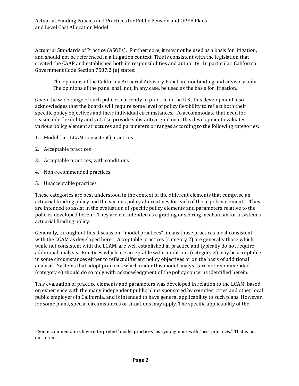Actuarial Standards of Practice (ASOPs). Furthermore, it may not be used as a basis for litigation, and should not be referenced in a litigation context. This is consistent with the legislation that created the CAAP and established both its responsibilities and authority. In particular, California Government Code Section 7507.2 (e) states:

The opinions of the California Actuarial Advisory Panel are nonbinding and advisory only. The opinions of the panel shall not, in any case, be used as the basis for litigation.

Given the wide range of such policies currently in practice in the U.S., this development also acknowledges that the boards will require some level of policy flexibility to reflect both their specific policy objectives and their individual circumstances. To accommodate that need for reasonable flexibility and yet also provide substantive guidance, this development evaluates various policy element structures and parameters or ranges according to the following categories:

- 1. Model (i.e., LCAM-consistent) practices
- 2. Acceptable practices
- 3. Acceptable practices, with conditions
- 4. Non-recommended practices

 

5. Unacceptable practices

These categories are best understood in the context of the different elements that comprise an actuarial funding policy and the various policy alternatives for each of those policy elements. They are intended to assist in the evaluation of specific policy elements and parameters relative to the policies developed herein. They are not intended as a grading or scoring mechanism for a system's actuarial funding policy.

Generally, throughout this discussion, "model practices" means those practices most consistent with the LCAM as developed here.<sup>4</sup> Acceptable practices (category 2) are generally those which, while not consistent with the LCAM, are well established in practice and typically do not require additional analysis. Practices which are acceptable with conditions (category 3) may be acceptable in some circumstances either to reflect different policy objectives or on the basis of additional analysis. Systems that adopt practices which under this model analysis are not recommended (category 4) should do so only with acknowledgment of the policy concerns identified herein.

This evaluation of practice elements and parameters was developed in relation to the LCAM, based on experience with the many independent public plans sponsored by counties, cities and other local public employers in California, and is intended to have general applicability to such plans. However, for some plans, special circumstances or situations may apply. The specific applicability of the

<sup>&</sup>lt;sup>4</sup> Some commentators have interpreted "model practices" as synonymous with "best practices." That is not our intent.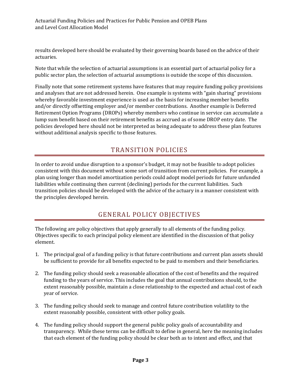results developed here should be evaluated by their governing boards based on the advice of their actuaries. 

Note that while the selection of actuarial assumptions is an essential part of actuarial policy for a public sector plan, the selection of actuarial assumptions is outside the scope of this discussion.

Finally note that some retirement systems have features that may require funding policy provisions and analyses that are not addressed herein. One example is systems with "gain sharing" provisions whereby favorable investment experience is used as the basis for increasing member benefits and/or directly offsetting employer and/or member contributions. Another example is Deferred Retirement Option Programs (DROPs) whereby members who continue in service can accumulate a lump sum benefit based on their retirement benefits as accrued as of some DROP entry date. The policies developed here should not be interpreted as being adequate to address these plan features without additional analysis specific to those features.

## TRANSITION POLICIES

In order to avoid undue disruption to a sponsor's budget, it may not be feasible to adopt policies consistent with this document without some sort of transition from current policies. For example, a plan using longer than model amortization periods could adopt model periods for future unfunded liabilities while continuing then current (declining) periods for the current liabilities. Such transition policies should be developed with the advice of the actuary in a manner consistent with the principles developed herein.

### GENERAL POLICY OBJECTIVES

The following are policy objectives that apply generally to all elements of the funding policy. Objectives specific to each principal policy element are identified in the discussion of that policy element. 

- 1. The principal goal of a funding policy is that future contributions and current plan assets should be sufficient to provide for all benefits expected to be paid to members and their beneficiaries.
- 2. The funding policy should seek a reasonable allocation of the cost of benefits and the required funding to the years of service. This includes the goal that annual contributions should, to the extent reasonably possible, maintain a close relationship to the expected and actual cost of each vear of service.
- 3. The funding policy should seek to manage and control future contribution volatility to the extent reasonably possible, consistent with other policy goals.
- 4. The funding policy should support the general public policy goals of accountability and transparency. While these terms can be difficult to define in general, here the meaning includes that each element of the funding policy should be clear both as to intent and effect, and that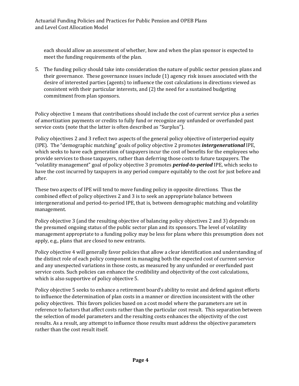each should allow an assessment of whether, how and when the plan sponsor is expected to meet the funding requirements of the plan.

5. The funding policy should take into consideration the nature of public sector pension plans and their governance. These governance issues include (1) agency risk issues associated with the desire of interested parties (agents) to influence the cost calculations in directions viewed as consistent with their particular interests, and (2) the need for a sustained budgeting commitment from plan sponsors.

Policy objective 1 means that contributions should include the cost of current service plus a series of amortization payments or credits to fully fund or recognize any unfunded or overfunded past service costs (note that the latter is often described as "Surplus").

Policy objectives 2 and 3 reflect two aspects of the general policy objective of interperiod equity (IPE). The "demographic matching" goals of policy objective 2 promotes *intergenerational* IPE, which seeks to have each generation of taxpayers incur the cost of benefits for the employees who provide services to those taxpayers, rather than deferring those costs to future taxpayers. The "volatility management" goal of policy objective 3 promotes *period-to-period* IPE, which seeks to have the cost incurred by taxpayers in any period compare equitably to the cost for just before and after. 

These two aspects of IPE will tend to move funding policy in opposite directions. Thus the combined effect of policy objectives 2 and 3 is to seek an appropriate balance between intergenerational and period-to-period IPE, that is, between demographic matching and volatility management. 

Policy objective 3 (and the resulting objective of balancing policy objectives 2 and 3) depends on the presumed ongoing status of the public sector plan and its sponsors. The level of volatility management appropriate to a funding policy may be less for plans where this presumption does not apply, e.g., plans that are closed to new entrants.

Policy objective 4 will generally favor policies that allow a clear identification and understanding of the distinct role of each policy component in managing both the expected cost of current service and any unexpected variations in those costs, as measured by any unfunded or overfunded past service costs. Such policies can enhance the credibility and objectivity of the cost calculations, which is also supportive of policy objective 5.

Policy objective 5 seeks to enhance a retirement board's ability to resist and defend against efforts to influence the determination of plan costs in a manner or direction inconsistent with the other policy objectives. This favors policies based on a cost model where the parameters are set in reference to factors that affect costs rather than the particular cost result. This separation between the selection of model parameters and the resulting costs enhances the objectivity of the cost results. As a result, any attempt to influence those results must address the objective parameters rather than the cost result itself.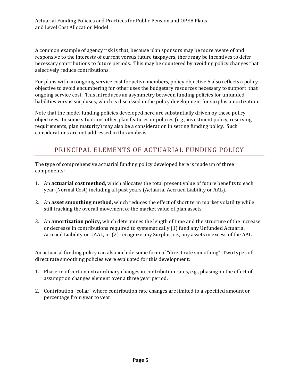A common example of agency risk is that, because plan sponsors may be more aware of and responsive to the interests of current versus future taxpayers, there may be incentives to defer necessary contributions to future periods. This may be countered by avoiding policy changes that selectively reduce contributions.

For plans with an ongoing service cost for active members, policy objective 5 also reflects a policy objective to avoid encumbering for other uses the budgetary resources necessary to support that ongoing service cost. This introduces an asymmetry between funding policies for unfunded liabilities versus surpluses, which is discussed in the policy development for surplus amortization.

Note that the model funding policies developed here are substantially driven by these policy objectives. In some situations other plan features or policies (e.g., investment policy, reserving requirements, plan maturity) may also be a consideration in setting funding policy. Such considerations are not addressed in this analysis.

## PRINCIPAL ELEMENTS OF ACTUARIAL FUNDING POLICY

The type of comprehensive actuarial funding policy developed here is made up of three components: 

- 1. An **actuarial cost method**, which allocates the total present value of future benefits to each year (Normal Cost) including all past years (Actuarial Accrued Liability or AAL).
- 2. An **asset smoothing method,** which reduces the effect of short term market volatility while still tracking the overall movement of the market value of plan assets.
- 3. An **amortization policy**, which determines the length of time and the structure of the increase or decrease in contributions required to systematically (1) fund any Unfunded Actuarial Accrued Liability or UAAL, or (2) recognize any Surplus, i.e., any assets in excess of the AAL.

An actuarial funding policy can also include some form of "direct rate smoothing". Two types of direct rate smoothing policies were evaluated for this development:

- 1. Phase-in of certain extraordinary changes in contribution rates, e.g., phasing-in the effect of assumption changes element over a three year period.
- 2. Contribution "collar" where contribution rate changes are limited to a specified amount or percentage from year to year.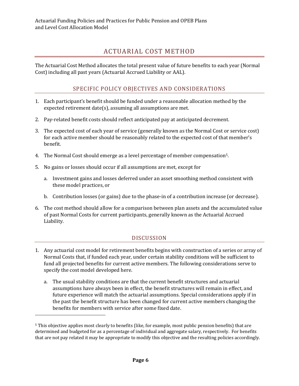## ACTUARIAL COST METHOD

The Actuarial Cost Method allocates the total present value of future benefits to each year (Normal Cost) including all past years (Actuarial Accrued Liability or AAL).

#### SPECIFIC POLICY OBJECTIVES AND CONSIDERATIONS

- 1. Each participant's benefit should be funded under a reasonable allocation method by the expected retirement  $date(s)$ , assuming all assumptions are met.
- 2. Pay-related benefit costs should reflect anticipated pay at anticipated decrement.
- 3. The expected cost of each year of service (generally known as the Normal Cost or service cost) for each active member should be reasonably related to the expected cost of that member's benefit.
- 4. The Normal Cost should emerge as a level percentage of member compensation<sup>5</sup>.
- 5. No gains or losses should occur if all assumptions are met, except for

 

- a. Investment gains and losses deferred under an asset smoothing method consistent with these model practices, or
- b. Contribution losses (or gains) due to the phase-in of a contribution increase (or decrease).
- 6. The cost method should allow for a comparison between plan assets and the accumulated value of past Normal Costs for current participants, generally known as the Actuarial Accrued Liability.

#### DISCUSSION

- 1. Any actuarial cost model for retirement benefits begins with construction of a series or array of Normal Costs that, if funded each year, under certain stability conditions will be sufficient to fund all projected benefits for current active members. The following considerations serve to specify the cost model developed here.
	- a. The usual stability conditions are that the current benefit structures and actuarial assumptions have always been in effect, the benefit structures will remain in effect, and future experience will match the actuarial assumptions. Special considerations apply if in the past the benefit structure has been changed for current active members changing the benefits for members with service after some fixed date.

<sup>&</sup>lt;sup>5</sup> This objective applies most clearly to benefits (like, for example, most public pension benefits) that are determined and budgeted for as a percentage of individual and aggregate salary, respectively. For benefits that are not pay related it may be appropriate to modify this objective and the resulting policies accordingly.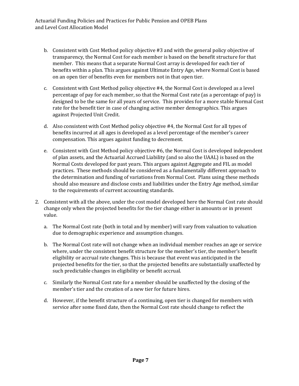- b. Consistent with Cost Method policy objective #3 and with the general policy objective of transparency, the Normal Cost for each member is based on the benefit structure for that member. This means that a separate Normal Cost array is developed for each tier of benefits within a plan. This argues against Ultimate Entry Age, where Normal Cost is based on an open tier of benefits even for members not in that open tier.
- c. Consistent with Cost Method policy objective #4, the Normal Cost is developed as a level percentage of pay for each member, so that the Normal Cost rate (as a percentage of pay) is designed to be the same for all years of service. This provides for a more stable Normal Cost rate for the benefit tier in case of changing active member demographics. This argues against Projected Unit Credit.
- d. Also consistent with Cost Method policy objective #4, the Normal Cost for all types of benefits incurred at all ages is developed as a level percentage of the member's career compensation. This argues against funding to decrement.
- e. Consistent with Cost Method policy objective #6, the Normal Cost is developed independent of plan assets, and the Actuarial Accrued Liability (and so also the UAAL) is based on the Normal Costs developed for past years. This argues against Aggregate and FIL as model practices. These methods should be considered as a fundamentally different approach to the determination and funding of variations from Normal Cost. Plans using these methods should also measure and disclose costs and liabilities under the Entry Age method, similar to the requirements of current accounting standards.
- 2. Consistent with all the above, under the cost model developed here the Normal Cost rate should change only when the projected benefits for the tier change either in amounts or in present value.
	- a. The Normal Cost rate (both in total and by member) will vary from valuation to valuation due to demographic experience and assumption changes.
	- b. The Normal Cost rate will not change when an individual member reaches an age or service where, under the consistent benefit structure for the member's tier, the member's benefit eligibility or accrual rate changes. This is because that event was anticipated in the projected benefits for the tier, so that the projected benefits are substantially unaffected by such predictable changes in eligibility or benefit accrual.
	- c. Similarly the Normal Cost rate for a member should be unaffected by the closing of the member's tier and the creation of a new tier for future hires.
	- d. However, if the benefit structure of a continuing, open tier is changed for members with service after some fixed date, then the Normal Cost rate should change to reflect the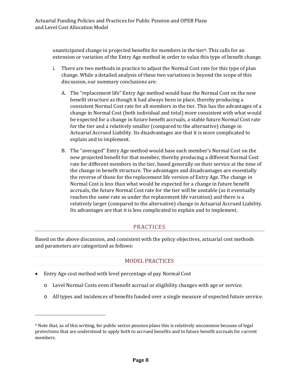unanticipated change in projected benefits for members in the tier<sup>6</sup>. This calls for an extension or variation of the Entry Age method in order to value this type of benefit change.

- i. There are two methods in practice to adjust the Normal Cost rate for this type of plan change. While a detailed analysis of these two variations is beyond the scope of this discussion, our summary conclusions are:
	- A. The "replacement life" Entry Age method would base the Normal Cost on the new benefit structure as though it had always been in place, thereby producing a consistent Normal Cost rate for all members in the tier. This has the advantages of a change in Normal Cost (both individual and total) more consistent with what would be expected for a change in future benefit accruals, a stable future Normal Cost rate for the tier and a relatively smaller (compared to the alternative) change in Actuarial Accrued Liability. Its disadvantages are that it is more complicated to explain and to implement.
	- B. The "averaged" Entry Age method would base each member's Normal Cost on the new projected benefit for that member, thereby producing a different Normal Cost rate for different members in the tier, based generally on their service at the time of the change in benefit structure. The advantages and disadvantages are essentially the reverse of those for the replacement life version of Entry Age. The change in Normal Cost is less than what would be expected for a change in future benefit accruals, the future Normal Cost rate for the tier will be unstable (as it eventually reaches the same rate as under the replacement life variation) and there is a relatively larger (compared to the alternative) change in Actuarial Accrued Liability. Its advantages are that it is less complicated to explain and to implement.

#### PRACTICES

Based on the above discussion, and consistent with the policy objectives, actuarial cost methods and parameters are categorized as follows:

#### MODEL PRACTICES

Entry Age cost method with level percentage of pay Normal Cost

 

- $\circ$  Level Normal Costs even if benefit accrual or eligibility changes with age or service.
- $\circ$  All types and incidences of benefits funded over a single measure of expected future service.

 $6$  Note that, as of this writing, for public sector pension plans this is relatively uncommon because of legal protections that are understood to apply both to accrued benefits and to future benefit accruals for current members.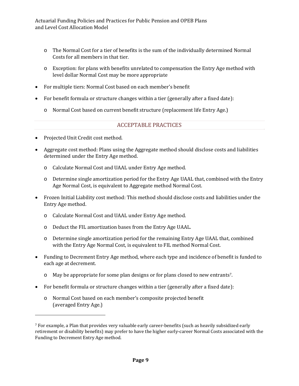- $\circ$  The Normal Cost for a tier of benefits is the sum of the individually determined Normal Costs for all members in that tier.
- $\circ$  Exception: for plans with benefits unrelated to compensation the Entry Age method with level dollar Normal Cost may be more appropriate
- For multiple tiers: Normal Cost based on each member's benefit
- For benefit formula or structure changes within a tier (generally after a fixed date):
	- o Normal Cost based on current benefit structure (replacement life Entry Age.)

#### ACCEPTABLE PRACTICES

• Projected Unit Credit cost method.

 

- Aggregate cost method: Plans using the Aggregate method should disclose costs and liabilities determined under the Entry Age method.
	- o Calculate Normal Cost and UAAL under Entry Age method.
	- $\circ$  Determine single amortization period for the Entry Age UAAL that, combined with the Entry Age Normal Cost, is equivalent to Aggregate method Normal Cost.
- Frozen Initial Liability cost method: This method should disclose costs and liabilities under the Entry Age method.
	- o Calculate Normal Cost and UAAL under Entry Age method.
	- o Deduct the FIL amortization bases from the Entry Age UAAL.
	- o Determine single amortization period for the remaining Entry Age UAAL that, combined with the Entry Age Normal Cost, is equivalent to FIL method Normal Cost.
- Funding to Decrement Entry Age method, where each type and incidence of benefit is funded to each age at decrement.
	- $\circ$  May be appropriate for some plan designs or for plans closed to new entrants<sup>7</sup>.
- For benefit formula or structure changes within a tier (generally after a fixed date):
	- o Normal Cost based on each member's composite projected benefit (averaged Entry Age.)

 $7$  For example, a Plan that provides very valuable early career-benefits (such as heavily subsidized early retirement or disability benefits) may prefer to have the higher early-career Normal Costs associated with the Funding to Decrement Entry Age method.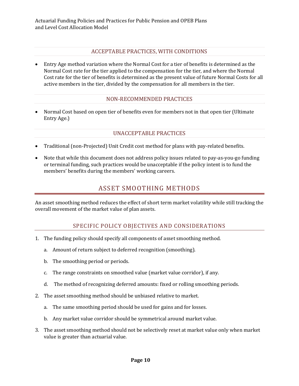#### ACCEPTABLE PRACTICES, WITH CONDITIONS

• Entry Age method variation where the Normal Cost for a tier of benefits is determined as the Normal Cost rate for the tier applied to the compensation for the tier, and where the Normal Cost rate for the tier of benefits is determined as the present value of future Normal Costs for all active members in the tier, divided by the compensation for all members in the tier.

#### NON-RECOMMENDED PRACTICES

• Normal Cost based on open tier of benefits even for members not in that open tier (Ultimate Entry Age.) 

#### UNACCEPTABLE PRACTICES

- Traditional (non-Projected) Unit Credit cost method for plans with pay-related benefits.
- Note that while this document does not address policy issues related to pay-as-you-go funding or terminal funding, such practices would be unacceptable if the policy intent is to fund the members' benefits during the members' working careers.

### ASSET SMOOTHING METHODS

An asset smoothing method reduces the effect of short term market volatility while still tracking the overall movement of the market value of plan assets.

#### SPECIFIC POLICY OBJECTIVES AND CONSIDERATIONS

- 1. The funding policy should specify all components of asset smoothing method.
	- a. Amount of return subject to deferred recognition (smoothing).
	- b. The smoothing period or periods.
	- c. The range constraints on smoothed value (market value corridor), if any.
	- d. The method of recognizing deferred amounts: fixed or rolling smoothing periods.
- 2. The asset smoothing method should be unbiased relative to market.
	- a. The same smoothing period should be used for gains and for losses.
	- b. Any market value corridor should be symmetrical around market value.
- 3. The asset smoothing method should not be selectively reset at market value only when market value is greater than actuarial value.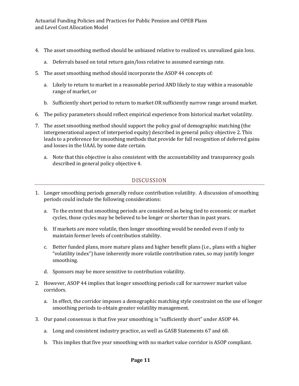- 4. The asset smoothing method should be unbiased relative to realized vs. unrealized gain loss.
	- a. Deferrals based on total return gain/loss relative to assumed earnings rate.
- 5. The asset smoothing method should incorporate the ASOP 44 concepts of:
	- a. Likely to return to market in a reasonable period AND likely to stay within a reasonable range of market, or
	- b. Sufficiently short period to return to market OR sufficiently narrow range around market.
- 6. The policy parameters should reflect empirical experience from historical market volatility.
- 7. The asset smoothing method should support the policy goal of demographic matching (the intergenerational aspect of interperiod equity) described in general policy objective 2. This leads to a preference for smoothing methods that provide for full recognition of deferred gains and losses in the UAAL by some date certain.
	- a. Note that this objective is also consistent with the accountability and transparency goals described in general policy objective 4.

#### DISCUSSION

- 1. Longer smoothing periods generally reduce contribution volatility. A discussion of smoothing periods could include the following considerations:
	- a. To the extent that smoothing periods are considered as being tied to economic or market cycles, those cycles may be believed to be longer or shorter than in past years.
	- b. If markets are more volatile, then longer smoothing would be needed even if only to maintain former levels of contribution stability.
	- c. Better funded plans, more mature plans and higher benefit plans (i.e., plans with a higher "volatility index") have inherently more volatile contribution rates, so may justify longer smoothing.
	- d. Sponsors may be more sensitive to contribution volatility.
- 2. However, ASOP 44 implies that longer smoothing periods call for narrower market value corridors.
	- a. In effect, the corridor imposes a demographic matching style constraint on the use of longer smoothing periods to obtain greater volatility management.
- 3. Our panel consensus is that five year smoothing is "sufficiently short" under ASOP 44.
	- a. Long and consistent industry practice, as well as GASB Statements 67 and 68.
	- b. This implies that five year smoothing with no market value corridor is ASOP compliant.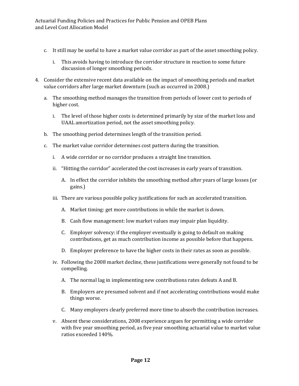- c. It still may be useful to have a market value corridor as part of the asset smoothing policy.
	- i. This avoids having to introduce the corridor structure in reaction to some future discussion of longer smoothing periods.
- 4. Consider the extensive recent data available on the impact of smoothing periods and market value corridors after large market downturn (such as occurred in 2008.)
	- a. The smoothing method manages the transition from periods of lower cost to periods of higher cost.
		- i. The level of those higher costs is determined primarily by size of the market loss and UAAL amortization period, not the asset smoothing policy.
	- b. The smoothing period determines length of the transition period.
	- c. The market value corridor determines cost pattern during the transition.
		- i. A wide corridor or no corridor produces a straight line transition.
		- ii. "Hitting the corridor" accelerated the cost increases in early years of transition.
			- A. In effect the corridor inhibits the smoothing method after years of large losses (or gains.)
		- iii. There are various possible policy justifications for such an accelerated transition.
			- A. Market timing: get more contributions in while the market is down.
			- B. Cash flow management: low market values may impair plan liquidity.
			- C. Employer solvency: if the employer eventually is going to default on making contributions, get as much contribution income as possible before that happens.
			- D. Employer preference to have the higher costs in their rates as soon as possible.
		- iv. Following the 2008 market decline, these justifications were generally not found to be compelling.
			- A. The normal lag in implementing new contributions rates defeats A and B.
			- B. Employers are presumed solvent and if not accelerating contributions would make things worse.
			- C. Many employers clearly preferred more time to absorb the contribution increases.
		- v. Absent these considerations, 2008 experience argues for permitting a wide corridor with five year smoothing period, as five year smoothing actuarial value to market value ratios exceeded 140%.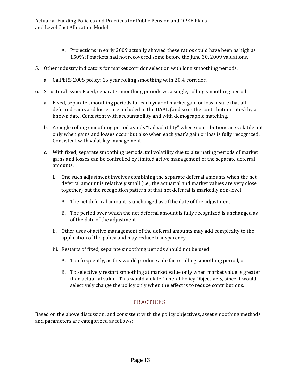- A. Projections in early 2009 actually showed these ratios could have been as high as 150% if markets had not recovered some before the June 30, 2009 valuations.
- 5. Other industry indicators for market corridor selection with long smoothing periods.
	- a. CalPERS 2005 policy: 15 year rolling smoothing with 20% corridor.
- 6. Structural issue: Fixed, separate smoothing periods vs. a single, rolling smoothing period.
	- a. Fixed, separate smoothing periods for each year of market gain or loss insure that all deferred gains and losses are included in the UAAL (and so in the contribution rates) by a known date. Consistent with accountability and with demographic matching.
	- b. A single rolling smoothing period avoids "tail volatility" where contributions are volatile not only when gains and losses occur but also when each year's gain or loss is fully recognized. Consistent with volatility management.
	- c. With fixed, separate smoothing periods, tail volatility due to alternating periods of market gains and losses can be controlled by limited active management of the separate deferral amounts.
		- i. One such adjustment involves combining the separate deferral amounts when the net deferral amount is relatively small (i.e., the actuarial and market values are very close together) but the recognition pattern of that net deferral is markedly non-level.
			- A. The net deferral amount is unchanged as of the date of the adjustment.
			- B. The period over which the net deferral amount is fully recognized is unchanged as of the date of the adjustment.
		- ii. Other uses of active management of the deferral amounts may add complexity to the application of the policy and may reduce transparency.
		- iii. Restarts of fixed, separate smoothing periods should not be used:
			- A. Too frequently, as this would produce a de facto rolling smoothing period, or
			- B. To selectively restart smoothing at market value only when market value is greater than actuarial value. This would violate General Policy Objective 5, since it would selectively change the policy only when the effect is to reduce contributions.

#### PRACTICES

Based on the above discussion, and consistent with the policy objectives, asset smoothing methods and parameters are categorized as follows: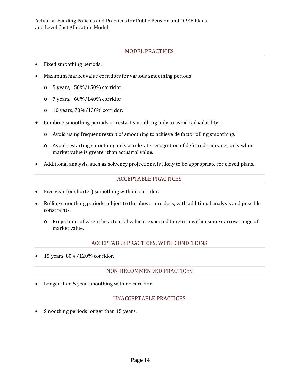#### MODEL PRACTICES

- Fixed smoothing periods.
- Maximum market value corridors for various smoothing periods.
	- $\circ$  5 years, 50%/150% corridor.
	- $\circ$  7 years,  $60\%/140\%$  corridor.
	- $\circ$  10 years, 70%/130% corridor.
- Combine smoothing periods or restart smoothing only to avoid tail volatility.
	- o Avoid using frequent restart of smoothing to achieve de facto rolling smoothing.
	- o Avoid restarting smoothing only accelerate recognition of deferred gains, i.e., only when market value is greater than actuarial value.
- Additional analysis, such as solvency projections, is likely to be appropriate for closed plans.

#### ACCEPTABLE PRACTICES

- Five year (or shorter) smoothing with no corridor.
- Rolling smoothing periods subject to the above corridors, with additional analysis and possible constraints.
	- o Projections of when the actuarial value is expected to return within some narrow range of market value.

#### ACCEPTABLE PRACTICES, WITH CONDITIONS

 $\bullet$  15 years, 80%/120% corridor.

#### NON-RECOMMENDED PRACTICES

• Longer than 5 year smoothing with no corridor.

#### UNACCEPTABLE PRACTICES

Smoothing periods longer than 15 years.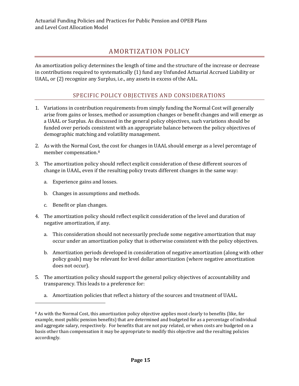## AMORTIZATION POLICY

An amortization policy determines the length of time and the structure of the increase or decrease in contributions required to systematically (1) fund any Unfunded Actuarial Accrued Liability or UAAL, or (2) recognize any Surplus, i.e., any assets in excess of the AAL.

#### SPECIFIC POLICY OBJECTIVES AND CONSIDERATIONS

- 1. Variations in contribution requirements from simply funding the Normal Cost will generally arise from gains or losses, method or assumption changes or benefit changes and will emerge as a UAAL or Surplus. As discussed in the general policy objectives, such variations should be funded over periods consistent with an appropriate balance between the policy objectives of demographic matching and volatility management.
- 2. As with the Normal Cost, the cost for changes in UAAL should emerge as a level percentage of member compensation.<sup>8</sup>
- 3. The amortization policy should reflect explicit consideration of these different sources of change in UAAL, even if the resulting policy treats different changes in the same way:
	- a. Experience gains and losses.
	- b. Changes in assumptions and methods.
	- c. Benefit or plan changes.

 

- 4. The amortization policy should reflect explicit consideration of the level and duration of negative amortization, if any.
	- a. This consideration should not necessarily preclude some negative amortization that may occur under an amortization policy that is otherwise consistent with the policy objectives.
	- b. Amortization periods developed in consideration of negative amortization (along with other policy goals) may be relevant for level dollar amortization (where negative amortization does not occur).
- 5. The amortization policy should support the general policy objectives of accountability and transparency. This leads to a preference for:
	- a. Amortization policies that reflect a history of the sources and treatment of UAAL.

<sup>&</sup>lt;sup>8</sup> As with the Normal Cost, this amortization policy objective applies most clearly to benefits (like, for example, most public pension benefits) that are determined and budgeted for as a percentage of individual and aggregate salary, respectively. For benefits that are not pay related, or when costs are budgeted on a basis other than compensation it may be appropriate to modify this objective and the resulting policies accordingly.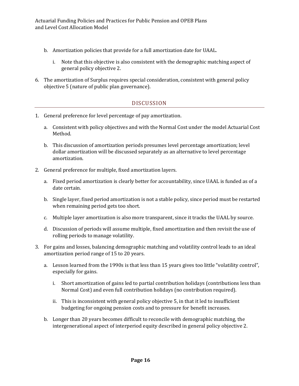- b. Amortization policies that provide for a full amortization date for UAAL.
	- i. Note that this objective is also consistent with the demographic matching aspect of general policy objective 2.
- 6. The amortization of Surplus requires special consideration, consistent with general policy objective 5 (nature of public plan governance).

#### DISCUSSION

- 1. General preference for level percentage of pay amortization.
	- a. Consistent with policy objectives and with the Normal Cost under the model Actuarial Cost Method.
	- b. This discussion of amortization periods presumes level percentage amortization; level dollar amortization will be discussed separately as an alternative to level percentage amortization.
- 2. General preference for multiple, fixed amortization layers.
	- a. Fixed period amortization is clearly better for accountability, since UAAL is funded as of a date certain.
	- b. Single layer, fixed period amortization is not a stable policy, since period must be restarted when remaining period gets too short.
	- c. Multiple layer amortization is also more transparent, since it tracks the UAAL by source.
	- d. Discussion of periods will assume multiple, fixed amortization and then revisit the use of rolling periods to manage volatility.
- 3. For gains and losses, balancing demographic matching and volatility control leads to an ideal amortization period range of 15 to 20 years.
	- a. Lesson learned from the 1990s is that less than 15 years gives too little "volatility control", especially for gains.
		- i. Short amortization of gains led to partial contribution holidays (contributions less than Normal Cost) and even full contribution holidays (no contribution required).
		- ii. This is inconsistent with general policy objective 5, in that it led to insufficient budgeting for ongoing pension costs and to pressure for benefit increases.
	- b. Longer than 20 years becomes difficult to reconcile with demographic matching, the intergenerational aspect of interperiod equity described in general policy objective 2.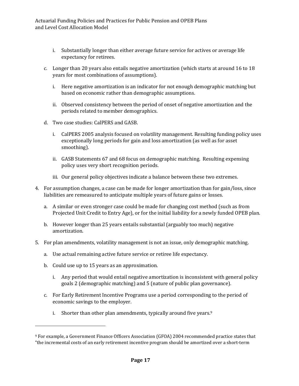- i. Substantially longer than either average future service for actives or average life expectancy for retirees.
- c. Longer than 20 years also entails negative amortization (which starts at around 16 to 18 years for most combinations of assumptions).
	- i. Here negative amortization is an indicator for not enough demographic matching but based on economic rather than demographic assumptions.
	- ii. Observed consistency between the period of onset of negative amortization and the periods related to member demographics.
- d. Two case studies: CalPERS and GASB.
	- i. CalPERS 2005 analysis focused on volatility management. Resulting funding policy uses exceptionally long periods for gain and loss amortization (as well as for asset smoothing).
	- ii. GASB Statements 67 and 68 focus on demographic matching. Resulting expensing policy uses very short recognition periods.
	- iii. Our general policy objectives indicate a balance between these two extremes.
- 4. For assumption changes, a case can be made for longer amortization than for gain/loss, since liabilities are remeasured to anticipate multiple years of future gains or losses.
	- a. A similar or even stronger case could be made for changing cost method (such as from Projected Unit Credit to Entry Age), or for the initial liability for a newly funded OPEB plan.
	- b. However longer than 25 years entails substantial (arguably too much) negative amortization.
- 5. For plan amendments, volatility management is not an issue, only demographic matching.
	- a. Use actual remaining active future service or retiree life expectancy.
	- b. Could use up to  $15$  years as an approximation.

<u> 1989 - Johann Stein, fransk politik (d. 1989)</u>

- i. Any period that would entail negative amortization is inconsistent with general policy goals 2 (demographic matching) and 5 (nature of public plan governance).
- c. For Early Retirement Incentive Programs use a period corresponding to the period of economic savings to the employer.
	- i. Shorter than other plan amendments, typically around five years.<sup>9</sup>

<sup>&</sup>lt;sup>9</sup> For example, a Government Finance Officers Association (GFOA) 2004 recommended practice states that "the incremental costs of an early retirement incentive program should be amortized over a short-term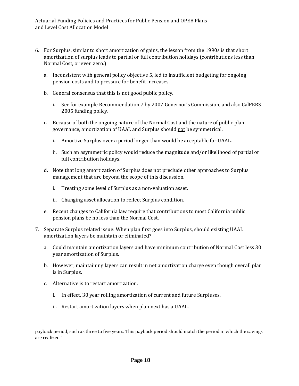- 6. For Surplus, similar to short amortization of gains, the lesson from the 1990s is that short amortization of surplus leads to partial or full contribution holidays (contributions less than Normal Cost, or even zero.)
	- a. Inconsistent with general policy objective 5, led to insufficient budgeting for ongoing pension costs and to pressure for benefit increases.
	- b. General consensus that this is not good public policy.
		- i. See for example Recommendation 7 by 2007 Governor's Commission, and also CalPERS 2005 funding policy.
	- c. Because of both the ongoing nature of the Normal Cost and the nature of public plan governance, amortization of UAAL and Surplus should not be symmetrical.
		- i. Amortize Surplus over a period longer than would be acceptable for UAAL.
		- ii. Such an asymmetric policy would reduce the magnitude and/or likelihood of partial or full contribution holidays.
	- d. Note that long amortization of Surplus does not preclude other approaches to Surplus management that are beyond the scope of this discussion.
		- i. Treating some level of Surplus as a non-valuation asset.
		- ii. Changing asset allocation to reflect Surplus condition.
	- e. Recent changes to California law require that contributions to most California public pension plans be no less than the Normal Cost.
- 7. Separate Surplus related issue: When plan first goes into Surplus, should existing UAAL amortization layers be maintain or eliminated?
	- a. Could maintain amortization layers and have minimum contribution of Normal Cost less 30 year amortization of Surplus.
	- b. However, maintaining layers can result in net amortization charge even though overall plan is in Surplus.
	- c. Alternative is to restart amortization.
		- i. In effect, 30 year rolling amortization of current and future Surpluses.
		- ii. Restart amortization layers when plan next has a UAAL.

<u> 1989 - Andrea Santa Andrea Andrea Andrea Andrea Andrea Andrea Andrea Andrea Andrea Andrea Andrea Andrea Andr</u>

payback period, such as three to five years. This payback period should match the period in which the savings are realized."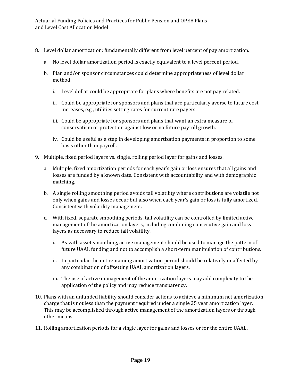- 8. Level dollar amortization: fundamentally different from level percent of pay amortization.
	- a. No level dollar amortization period is exactly equivalent to a level percent period.
	- b. Plan and/or sponsor circumstances could determine appropriateness of level dollar method.
		- i. Level dollar could be appropriate for plans where benefits are not pay related.
		- ii. Could be appropriate for sponsors and plans that are particularly averse to future cost increases, e.g., utilities setting rates for current rate payers.
		- iii. Could be appropriate for sponsors and plans that want an extra measure of conservatism or protection against low or no future payroll growth.
		- iv. Could be useful as a step in developing amortization payments in proportion to some basis other than payroll.
- 9. Multiple, fixed period layers vs. single, rolling period layer for gains and losses.
	- a. Multiple, fixed amortization periods for each year's gain or loss ensures that all gains and losses are funded by a known date. Consistent with accountability and with demographic matching.
	- b. A single rolling smoothing period avoids tail volatility where contributions are volatile not only when gains and losses occur but also when each year's gain or loss is fully amortized. Consistent with volatility management.
	- c. With fixed, separate smoothing periods, tail volatility can be controlled by limited active management of the amortization layers, including combining consecutive gain and loss layers as necessary to reduce tail volatility.
		- i. As with asset smoothing, active management should be used to manage the pattern of future UAAL funding and not to accomplish a short-term manipulation of contributions.
		- ii. In particular the net remaining amortization period should be relatively unaffected by any combination of offsetting UAAL amortization layers.
		- iii. The use of active management of the amortization layers may add complexity to the application of the policy and may reduce transparency.
- 10. Plans with an unfunded liability should consider actions to achieve a minimum net amortization charge that is not less than the payment required under a single 25 year amortization layer. This may be accomplished through active management of the amortization layers or through other means.
- 11. Rolling amortization periods for a single layer for gains and losses or for the entire UAAL.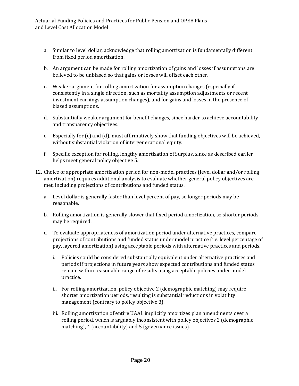- a. Similar to level dollar, acknowledge that rolling amortization is fundamentally different from fixed period amortization.
- b. An argument can be made for rolling amortization of gains and losses if assumptions are believed to be unbiased so that gains or losses will offset each other.
- c. Weaker argument for rolling amortization for assumption changes (especially if consistently in a single direction, such as mortality assumption adjustments or recent investment earnings assumption changes), and for gains and losses in the presence of biased assumptions.
- d. Substantially weaker argument for benefit changes, since harder to achieve accountability and transparency objectives.
- e. Especially for (c) and (d), must affirmatively show that funding objectives will be achieved, without substantial violation of intergenerational equity.
- f. Specific exception for rolling, lengthy amortization of Surplus, since as described earlier helps meet general policy objective 5.
- 12. Choice of appropriate amortization period for non-model practices (level dollar and/or rolling amortization) requires additional analysis to evaluate whether general policy objectives are met, including projections of contributions and funded status.
	- a. Level dollar is generally faster than level percent of pay, so longer periods may be reasonable.
	- b. Rolling amortization is generally slower that fixed period amortization, so shorter periods may be required.
	- c. To evaluate appropriateness of amortization period under alternative practices, compare projections of contributions and funded status under model practice (i.e. level percentage of pay, layered amortization) using acceptable periods with alternative practices and periods.
		- i. Policies could be considered substantially equivalent under alternative practices and periods if projections in future years show expected contributions and funded status remain within reasonable range of results using acceptable policies under model practice.
		- ii. For rolling amortization, policy objective 2 (demographic matching) may require shorter amortization periods, resulting is substantial reductions in volatility management (contrary to policy objective 3).
		- iii. Rolling amortization of entire UAAL implicitly amortizes plan amendments over a rolling period, which is arguably inconsistent with policy objectives 2 (demographic matching), 4 (accountability) and 5 (governance issues).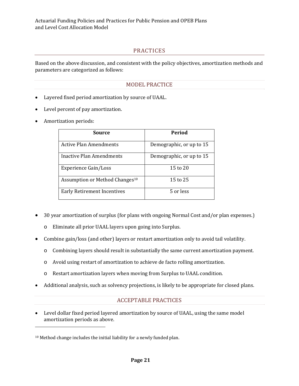#### PRACTICES

Based on the above discussion, and consistent with the policy objectives, amortization methods and parameters are categorized as follows:

#### MODEL PRACTICE

- Layered fixed period amortization by source of UAAL.
- Level percent of pay amortization.
- Amortization periods:

| Source                                     | <b>Period</b>            |
|--------------------------------------------|--------------------------|
| <b>Active Plan Amendments</b>              | Demographic, or up to 15 |
| Inactive Plan Amendments                   | Demographic, or up to 15 |
| <b>Experience Gain/Loss</b>                | 15 to 20                 |
| Assumption or Method Changes <sup>10</sup> | 15 to 25                 |
| Early Retirement Incentives                | 5 or less                |

- 30 year amortization of surplus (for plans with ongoing Normal Cost and/or plan expenses.)
	- $\circ$  Eliminate all prior UAAL layers upon going into Surplus.
- Combine gain/loss (and other) layers or restart amortization only to avoid tail volatility.
	- o Combining layers should result in substantially the same current amortization payment.
	- o Avoid using restart of amortization to achieve de facto rolling amortization.
	- o Restart amortization layers when moving from Surplus to UAAL condition.
- Additional analysis, such as solvency projections, is likely to be appropriate for closed plans.

#### **ACCEPTABLE PRACTICES**

• Level dollar fixed period layered amortization by source of UAAL, using the same model amortization periods as above.

<u> 1989 - Johann Stein, fransk politik (d. 1989)</u>

 $10$  Method change includes the initial liability for a newly funded plan.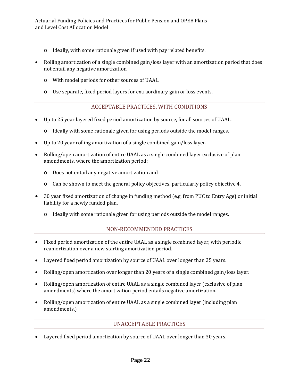- o Ideally, with some rationale given if used with pay related benefits.
- Rolling amortization of a single combined gain/loss layer with an amortization period that does not entail any negative amortization
	- o With model periods for other sources of UAAL.
	- o Use separate, fixed period layers for extraordinary gain or loss events.

#### ACCEPTABLE PRACTICES, WITH CONDITIONS

- Up to 25 year layered fixed period amortization by source, for all sources of UAAL.
	- o Ideally with some rationale given for using periods outside the model ranges.
- $\bullet$  Up to 20 year rolling amortization of a single combined gain/loss layer.
- Rolling/open amortization of entire UAAL as a single combined layer exclusive of plan amendments, where the amortization period:
	- o Does not entail any negative amortization and
	- $\circ$  Can be shown to meet the general policy objectives, particularly policy objective 4.
- 30 year fixed amortization of change in funding method (e.g. from PUC to Entry Age) or initial liability for a newly funded plan.
	- o Ideally with some rationale given for using periods outside the model ranges.

#### NON-RECOMMENDED PRACTICES

- Fixed period amortization of the entire UAAL as a single combined layer, with periodic reamortization over a new starting amortization period.
- Layered fixed period amortization by source of UAAL over longer than 25 years.
- Rolling/open amortization over longer than 20 years of a single combined gain/loss layer.
- Rolling/open amortization of entire UAAL as a single combined layer (exclusive of plan amendments) where the amortization period entails negative amortization.
- Rolling/open amortization of entire UAAL as a single combined layer (including plan amendments.)

#### UNACCEPTABLE PRACTICES

• Layered fixed period amortization by source of UAAL over longer than 30 years.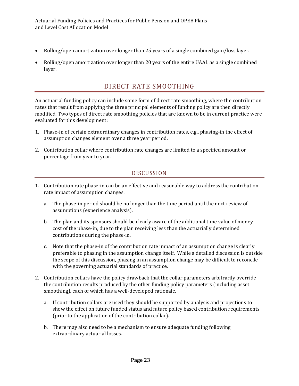- Rolling/open amortization over longer than 25 years of a single combined gain/loss layer.
- Rolling/open amortization over longer than 20 years of the entire UAAL as a single combined layer.

### DIRECT RATE SMOOTHING

An actuarial funding policy can include some form of direct rate smoothing, where the contribution rates that result from applying the three principal elements of funding policy are then directly modified. Two types of direct rate smoothing policies that are known to be in current practice were evaluated for this development:

- 1. Phase-in of certain extraordinary changes in contribution rates, e.g., phasing-in the effect of assumption changes element over a three year period.
- 2. Contribution collar where contribution rate changes are limited to a specified amount or percentage from year to year.

#### DISCUSSION

- 1. Contribution rate phase-in can be an effective and reasonable way to address the contribution rate impact of assumption changes.
	- a. The phase-in period should be no longer than the time period until the next review of assumptions (experience analysis).
	- b. The plan and its sponsors should be clearly aware of the additional time value of money cost of the phase-in, due to the plan receiving less than the actuarially determined contributions during the phase-in.
	- c. Note that the phase-in of the contribution rate impact of an assumption change is clearly preferable to phasing in the assumption change itself. While a detailed discussion is outside the scope of this discussion, phasing in an assumption change may be difficult to reconcile with the governing actuarial standards of practice.
- 2. Contribution collars have the policy drawback that the collar parameters arbitrarily override the contribution results produced by the other funding policy parameters (including asset smoothing), each of which has a well-developed rationale.
	- a. If contribution collars are used they should be supported by analysis and projections to show the effect on future funded status and future policy based contribution requirements (prior to the application of the contribution collar).
	- b. There may also need to be a mechanism to ensure adequate funding following extraordinary actuarial losses.